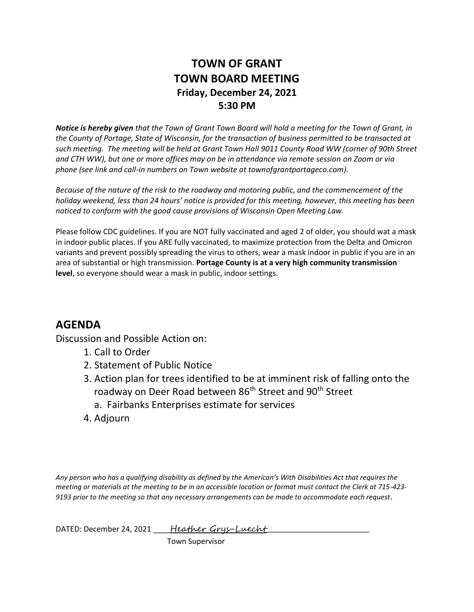## **TOWN OF GRANT TOWN BOARD MEETING Friday, December 24, 2021 5:30 PM**

*Notice is hereby given that the Town of Grant Town Board will hold a meeting for the Town of Grant, in the County of Portage, State of Wisconsin, for the transaction of business permitted to be transacted at such meeting. The meeting will be held at Grant Town Hall 9011 County Road WW (corner of 90th Street and CTH WW), but one or more offices may on be in attendance via remote session on Zoom or via phone (see link and call-in numbers on Town website at townofgrantportageco.com).*

*Because of the nature of the risk to the roadway and motoring public, and the commencement of the holiday weekend, less than 24 hours' notice is provided for this meeting, however, this meeting has been noticed to conform with the good cause provisions of Wisconsin Open Meeting Law.* 

Please follow CDC guidelines. If you are NOT fully vaccinated and aged 2 of older, you should wat a mask in indoor public places. If you ARE fully vaccinated, to maximize protection from the Delta and Omicron variants and prevent possibly spreading the virus to others, wear a mask indoor in public if you are in an area of substantial or high transmission. **Portage County is at a very high community transmission level**, so everyone should wear a mask in public, indoor settings.

## **AGENDA**

Discussion and Possible Action on:

- 1. Call to Order
- 2. Statement of Public Notice
- 3. Action plan for trees identified to be at imminent risk of falling onto the roadway on Deer Road between 86<sup>th</sup> Street and 90<sup>th</sup> Street
	- a. Fairbanks Enterprises estimate for services
- 4. Adjourn

*Any person who has a qualifying disability as defined by the American's With Disabilities Act that requires the meeting or materials at the meeting to be in an accessible location or format must contact the Clerk at 715-423- 9193 prior to the meeting so that any necessary arrangements can be made to accommodate each request*.

DATED: December 24, 2021 \_\_\_\_Heather Grys-Luecht

Town Supervisor